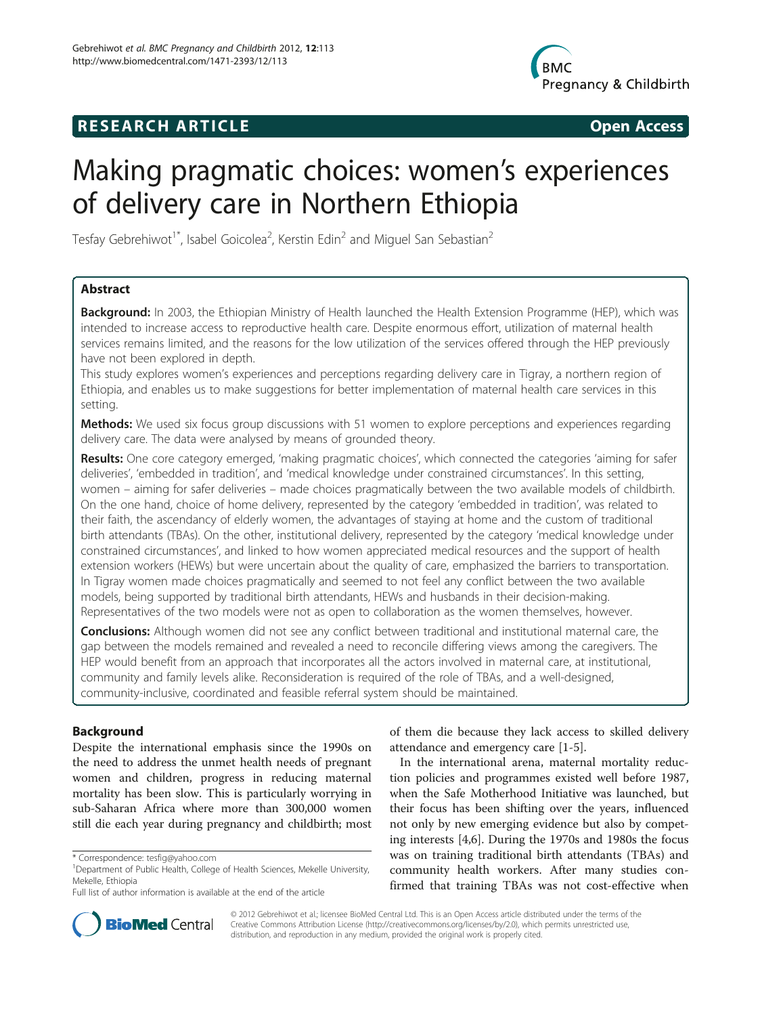# **RESEARCH ARTICLE Example 2014 CONSIDERING CONSIDERING CONSIDERING CONSIDERING CONSIDERING CONSIDERING CONSIDERING CONSIDERING CONSIDERING CONSIDERING CONSIDERING CONSIDERING CONSIDERING CONSIDERING CONSIDERING CONSIDE**



# Making pragmatic choices: women's experiences of delivery care in Northern Ethiopia

Tesfay Gebrehiwot<sup>1\*</sup>, Isabel Goicolea<sup>2</sup>, Kerstin Edin<sup>2</sup> and Miguel San Sebastian<sup>2</sup>

# Abstract

Background: In 2003, the Ethiopian Ministry of Health launched the Health Extension Programme (HEP), which was intended to increase access to reproductive health care. Despite enormous effort, utilization of maternal health services remains limited, and the reasons for the low utilization of the services offered through the HEP previously have not been explored in depth.

This study explores women's experiences and perceptions regarding delivery care in Tigray, a northern region of Ethiopia, and enables us to make suggestions for better implementation of maternal health care services in this setting.

Methods: We used six focus group discussions with 51 women to explore perceptions and experiences regarding delivery care. The data were analysed by means of grounded theory.

Results: One core category emerged, 'making pragmatic choices', which connected the categories 'aiming for safer deliveries', 'embedded in tradition', and 'medical knowledge under constrained circumstances'. In this setting, women – aiming for safer deliveries – made choices pragmatically between the two available models of childbirth. On the one hand, choice of home delivery, represented by the category 'embedded in tradition', was related to their faith, the ascendancy of elderly women, the advantages of staying at home and the custom of traditional birth attendants (TBAs). On the other, institutional delivery, represented by the category 'medical knowledge under constrained circumstances', and linked to how women appreciated medical resources and the support of health extension workers (HEWs) but were uncertain about the quality of care, emphasized the barriers to transportation. In Tigray women made choices pragmatically and seemed to not feel any conflict between the two available models, being supported by traditional birth attendants, HEWs and husbands in their decision-making. Representatives of the two models were not as open to collaboration as the women themselves, however.

**Conclusions:** Although women did not see any conflict between traditional and institutional maternal care, the gap between the models remained and revealed a need to reconcile differing views among the caregivers. The HEP would benefit from an approach that incorporates all the actors involved in maternal care, at institutional, community and family levels alike. Reconsideration is required of the role of TBAs, and a well-designed, community-inclusive, coordinated and feasible referral system should be maintained.

# Background

Despite the international emphasis since the 1990s on the need to address the unmet health needs of pregnant women and children, progress in reducing maternal mortality has been slow. This is particularly worrying in sub-Saharan Africa where more than 300,000 women still die each year during pregnancy and childbirth; most of them die because they lack access to skilled delivery attendance and emergency care [[1-5](#page-9-0)].

In the international arena, maternal mortality reduction policies and programmes existed well before 1987, when the Safe Motherhood Initiative was launched, but their focus has been shifting over the years, influenced not only by new emerging evidence but also by competing interests [\[4,6](#page-9-0)]. During the 1970s and 1980s the focus was on training traditional birth attendants (TBAs) and community health workers. After many studies confirmed that training TBAs was not cost-effective when



© 2012 Gebrehiwot et al.; licensee BioMed Central Ltd. This is an Open Access article distributed under the terms of the Creative Commons Attribution License (<http://creativecommons.org/licenses/by/2.0>), which permits unrestricted use, distribution, and reproduction in any medium, provided the original work is properly cited.

<sup>\*</sup> Correspondence: [tesfig@yahoo.com](mailto:tesfig@yahoo.com) <sup>1</sup>

<sup>&</sup>lt;sup>1</sup>Department of Public Health, College of Health Sciences, Mekelle University, Mekelle, Ethiopia

Full list of author information is available at the end of the article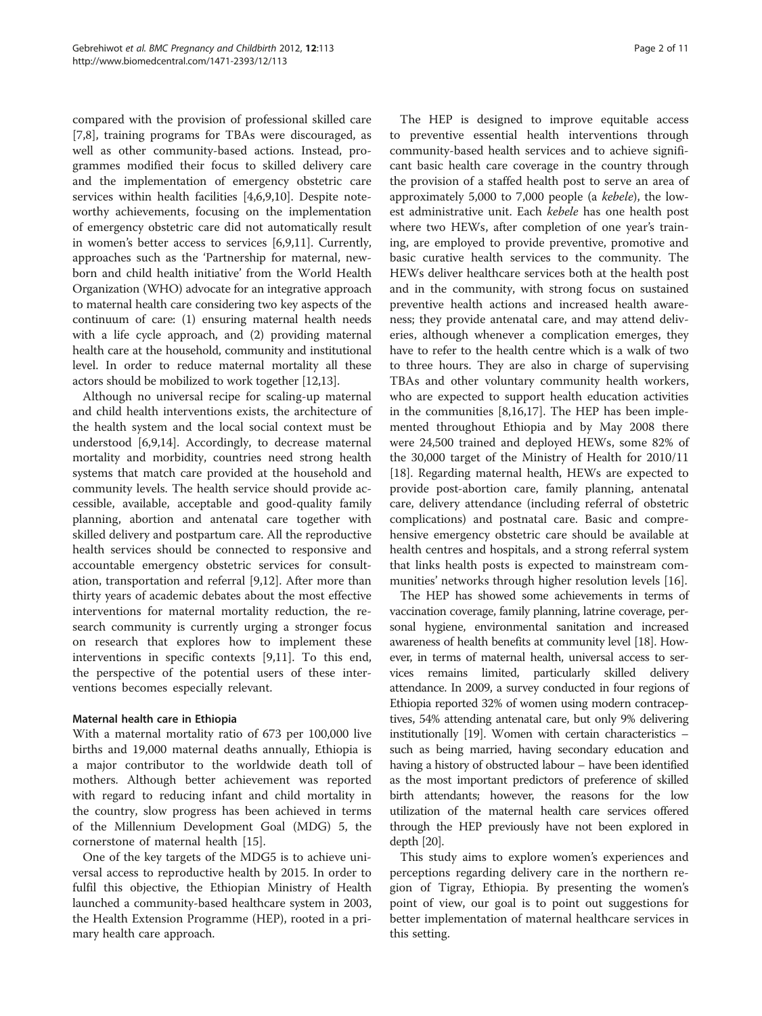compared with the provision of professional skilled care [[7,8\]](#page-9-0), training programs for TBAs were discouraged, as well as other community-based actions. Instead, programmes modified their focus to skilled delivery care and the implementation of emergency obstetric care services within health facilities [\[4,6,9,10](#page-9-0)]. Despite noteworthy achievements, focusing on the implementation of emergency obstetric care did not automatically result in women's better access to services [[6,9,11\]](#page-9-0). Currently, approaches such as the 'Partnership for maternal, newborn and child health initiative' from the World Health Organization (WHO) advocate for an integrative approach to maternal health care considering two key aspects of the continuum of care: (1) ensuring maternal health needs with a life cycle approach, and (2) providing maternal health care at the household, community and institutional level. In order to reduce maternal mortality all these actors should be mobilized to work together [\[12,13](#page-9-0)].

Although no universal recipe for scaling-up maternal and child health interventions exists, the architecture of the health system and the local social context must be understood [\[6,9,14](#page-9-0)]. Accordingly, to decrease maternal mortality and morbidity, countries need strong health systems that match care provided at the household and community levels. The health service should provide accessible, available, acceptable and good-quality family planning, abortion and antenatal care together with skilled delivery and postpartum care. All the reproductive health services should be connected to responsive and accountable emergency obstetric services for consultation, transportation and referral [\[9,12](#page-9-0)]. After more than thirty years of academic debates about the most effective interventions for maternal mortality reduction, the research community is currently urging a stronger focus on research that explores how to implement these interventions in specific contexts [\[9,11](#page-9-0)]. To this end, the perspective of the potential users of these interventions becomes especially relevant.

# Maternal health care in Ethiopia

With a maternal mortality ratio of 673 per 100,000 live births and 19,000 maternal deaths annually, Ethiopia is a major contributor to the worldwide death toll of mothers. Although better achievement was reported with regard to reducing infant and child mortality in the country, slow progress has been achieved in terms of the Millennium Development Goal (MDG) 5, the cornerstone of maternal health [[15\]](#page-9-0).

One of the key targets of the MDG5 is to achieve universal access to reproductive health by 2015. In order to fulfil this objective, the Ethiopian Ministry of Health launched a community-based healthcare system in 2003, the Health Extension Programme (HEP), rooted in a primary health care approach.

The HEP is designed to improve equitable access to preventive essential health interventions through community-based health services and to achieve significant basic health care coverage in the country through the provision of a staffed health post to serve an area of approximately 5,000 to 7,000 people (a kebele), the lowest administrative unit. Each *kebele* has one health post where two HEWs, after completion of one year's training, are employed to provide preventive, promotive and basic curative health services to the community. The HEWs deliver healthcare services both at the health post and in the community, with strong focus on sustained preventive health actions and increased health awareness; they provide antenatal care, and may attend deliveries, although whenever a complication emerges, they have to refer to the health centre which is a walk of two to three hours. They are also in charge of supervising TBAs and other voluntary community health workers, who are expected to support health education activities in the communities [[8](#page-9-0),[16](#page-9-0),[17](#page-9-0)]. The HEP has been implemented throughout Ethiopia and by May 2008 there were 24,500 trained and deployed HEWs, some 82% of the 30,000 target of the Ministry of Health for 2010/11 [[18\]](#page-10-0). Regarding maternal health, HEWs are expected to provide post-abortion care, family planning, antenatal care, delivery attendance (including referral of obstetric complications) and postnatal care. Basic and comprehensive emergency obstetric care should be available at health centres and hospitals, and a strong referral system that links health posts is expected to mainstream communities' networks through higher resolution levels [\[16](#page-9-0)].

The HEP has showed some achievements in terms of vaccination coverage, family planning, latrine coverage, personal hygiene, environmental sanitation and increased awareness of health benefits at community level [\[18](#page-10-0)]. However, in terms of maternal health, universal access to services remains limited, particularly skilled delivery attendance. In 2009, a survey conducted in four regions of Ethiopia reported 32% of women using modern contraceptives, 54% attending antenatal care, but only 9% delivering institutionally [\[19\]](#page-10-0). Women with certain characteristics – such as being married, having secondary education and having a history of obstructed labour – have been identified as the most important predictors of preference of skilled birth attendants; however, the reasons for the low utilization of the maternal health care services offered through the HEP previously have not been explored in depth [[20](#page-10-0)].

This study aims to explore women's experiences and perceptions regarding delivery care in the northern region of Tigray, Ethiopia. By presenting the women's point of view, our goal is to point out suggestions for better implementation of maternal healthcare services in this setting.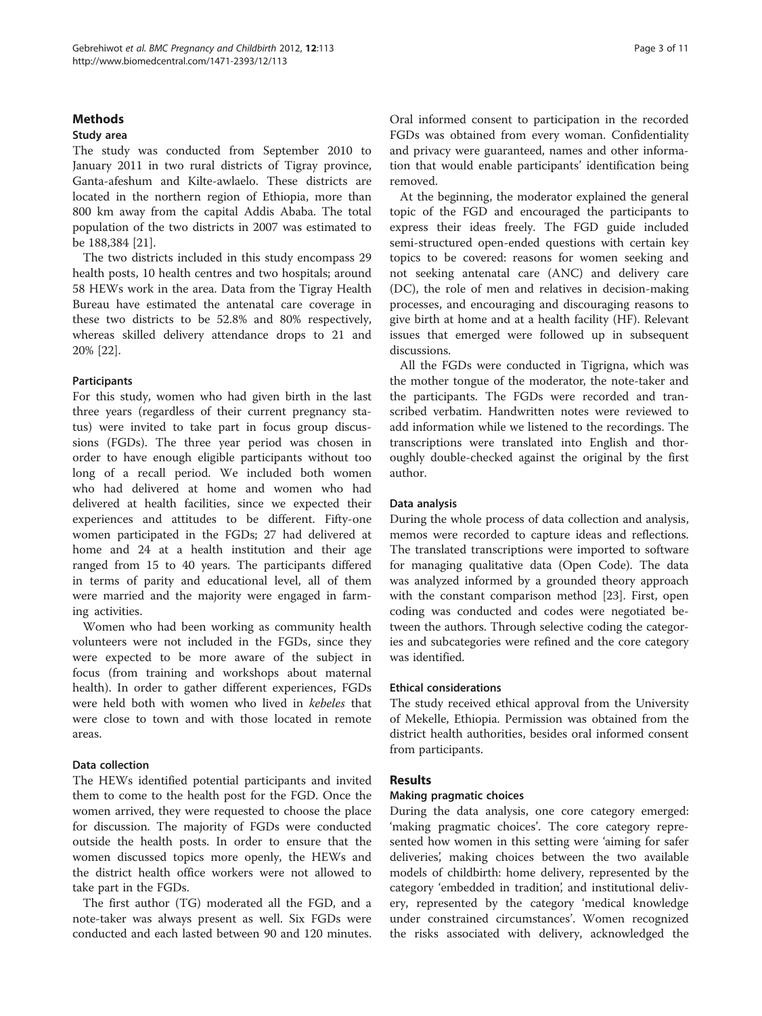#### **Methods**

### Study area

The study was conducted from September 2010 to January 2011 in two rural districts of Tigray province, Ganta-afeshum and Kilte-awlaelo. These districts are located in the northern region of Ethiopia, more than 800 km away from the capital Addis Ababa. The total population of the two districts in 2007 was estimated to be 188,384 [[21\]](#page-10-0).

The two districts included in this study encompass 29 health posts, 10 health centres and two hospitals; around 58 HEWs work in the area. Data from the Tigray Health Bureau have estimated the antenatal care coverage in these two districts to be 52.8% and 80% respectively, whereas skilled delivery attendance drops to 21 and 20% [\[22](#page-10-0)].

#### Participants

For this study, women who had given birth in the last three years (regardless of their current pregnancy status) were invited to take part in focus group discussions (FGDs). The three year period was chosen in order to have enough eligible participants without too long of a recall period. We included both women who had delivered at home and women who had delivered at health facilities, since we expected their experiences and attitudes to be different. Fifty-one women participated in the FGDs; 27 had delivered at home and 24 at a health institution and their age ranged from 15 to 40 years. The participants differed in terms of parity and educational level, all of them were married and the majority were engaged in farming activities.

Women who had been working as community health volunteers were not included in the FGDs, since they were expected to be more aware of the subject in focus (from training and workshops about maternal health). In order to gather different experiences, FGDs were held both with women who lived in kebeles that were close to town and with those located in remote areas.

### Data collection

The HEWs identified potential participants and invited them to come to the health post for the FGD. Once the women arrived, they were requested to choose the place for discussion. The majority of FGDs were conducted outside the health posts. In order to ensure that the women discussed topics more openly, the HEWs and the district health office workers were not allowed to take part in the FGDs.

The first author (TG) moderated all the FGD, and a note-taker was always present as well. Six FGDs were conducted and each lasted between 90 and 120 minutes.

Oral informed consent to participation in the recorded FGDs was obtained from every woman. Confidentiality and privacy were guaranteed, names and other information that would enable participants' identification being removed.

At the beginning, the moderator explained the general topic of the FGD and encouraged the participants to express their ideas freely. The FGD guide included semi-structured open-ended questions with certain key topics to be covered: reasons for women seeking and not seeking antenatal care (ANC) and delivery care (DC), the role of men and relatives in decision-making processes, and encouraging and discouraging reasons to give birth at home and at a health facility (HF). Relevant issues that emerged were followed up in subsequent discussions.

All the FGDs were conducted in Tigrigna, which was the mother tongue of the moderator, the note-taker and the participants. The FGDs were recorded and transcribed verbatim. Handwritten notes were reviewed to add information while we listened to the recordings. The transcriptions were translated into English and thoroughly double-checked against the original by the first author.

#### Data analysis

During the whole process of data collection and analysis, memos were recorded to capture ideas and reflections. The translated transcriptions were imported to software for managing qualitative data (Open Code). The data was analyzed informed by a grounded theory approach with the constant comparison method [\[23](#page-10-0)]. First, open coding was conducted and codes were negotiated between the authors. Through selective coding the categories and subcategories were refined and the core category was identified.

#### Ethical considerations

The study received ethical approval from the University of Mekelle, Ethiopia. Permission was obtained from the district health authorities, besides oral informed consent from participants.

#### Results

#### Making pragmatic choices

During the data analysis, one core category emerged: 'making pragmatic choices'. The core category represented how women in this setting were 'aiming for safer deliveries', making choices between the two available models of childbirth: home delivery, represented by the category 'embedded in tradition', and institutional delivery, represented by the category 'medical knowledge under constrained circumstances'. Women recognized the risks associated with delivery, acknowledged the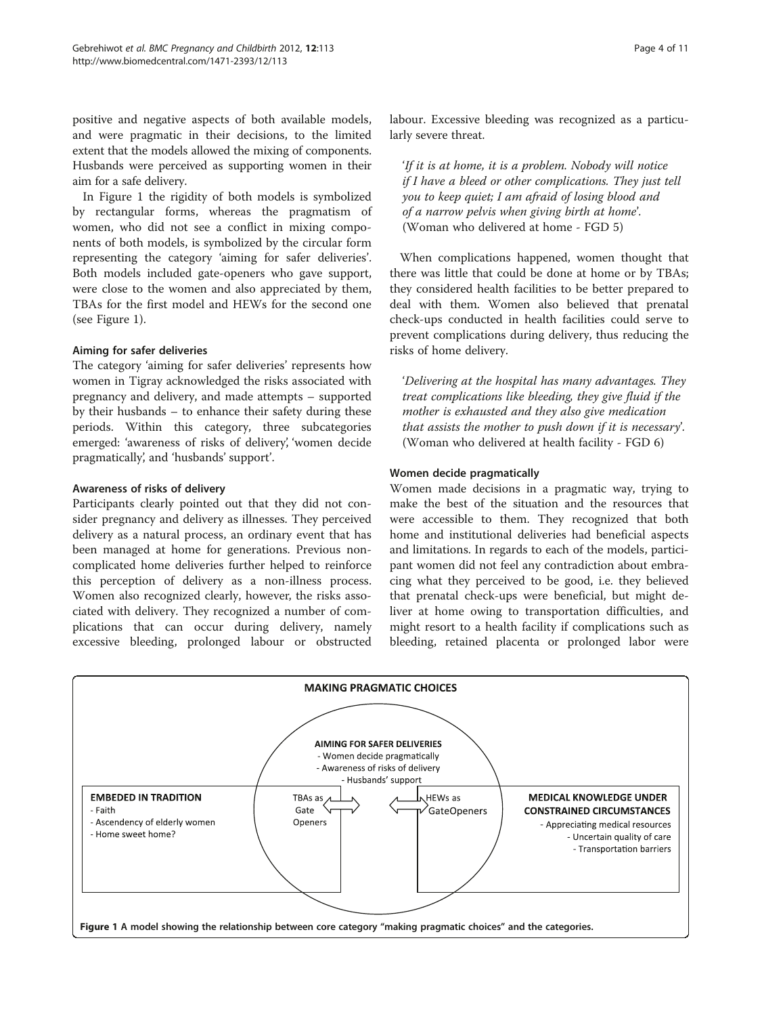positive and negative aspects of both available models, and were pragmatic in their decisions, to the limited extent that the models allowed the mixing of components. Husbands were perceived as supporting women in their aim for a safe delivery.

In Figure 1 the rigidity of both models is symbolized by rectangular forms, whereas the pragmatism of women, who did not see a conflict in mixing components of both models, is symbolized by the circular form representing the category 'aiming for safer deliveries'. Both models included gate-openers who gave support, were close to the women and also appreciated by them, TBAs for the first model and HEWs for the second one (see Figure 1).

# Aiming for safer deliveries

The category 'aiming for safer deliveries' represents how women in Tigray acknowledged the risks associated with pregnancy and delivery, and made attempts – supported by their husbands – to enhance their safety during these periods. Within this category, three subcategories emerged: 'awareness of risks of delivery', 'women decide pragmatically', and 'husbands' support'.

### Awareness of risks of delivery

Participants clearly pointed out that they did not consider pregnancy and delivery as illnesses. They perceived delivery as a natural process, an ordinary event that has been managed at home for generations. Previous noncomplicated home deliveries further helped to reinforce this perception of delivery as a non-illness process. Women also recognized clearly, however, the risks associated with delivery. They recognized a number of complications that can occur during delivery, namely excessive bleeding, prolonged labour or obstructed labour. Excessive bleeding was recognized as a particularly severe threat.

'If it is at home, it is a problem. Nobody will notice if I have a bleed or other complications. They just tell you to keep quiet; I am afraid of losing blood and of a narrow pelvis when giving birth at home'. (Woman who delivered at home - FGD 5)

When complications happened, women thought that there was little that could be done at home or by TBAs; they considered health facilities to be better prepared to deal with them. Women also believed that prenatal check-ups conducted in health facilities could serve to prevent complications during delivery, thus reducing the risks of home delivery.

'Delivering at the hospital has many advantages. They treat complications like bleeding, they give fluid if the mother is exhausted and they also give medication that assists the mother to push down if it is necessary'. (Woman who delivered at health facility - FGD 6)

#### Women decide pragmatically

Women made decisions in a pragmatic way, trying to make the best of the situation and the resources that were accessible to them. They recognized that both home and institutional deliveries had beneficial aspects and limitations. In regards to each of the models, participant women did not feel any contradiction about embracing what they perceived to be good, i.e. they believed that prenatal check-ups were beneficial, but might deliver at home owing to transportation difficulties, and might resort to a health facility if complications such as bleeding, retained placenta or prolonged labor were

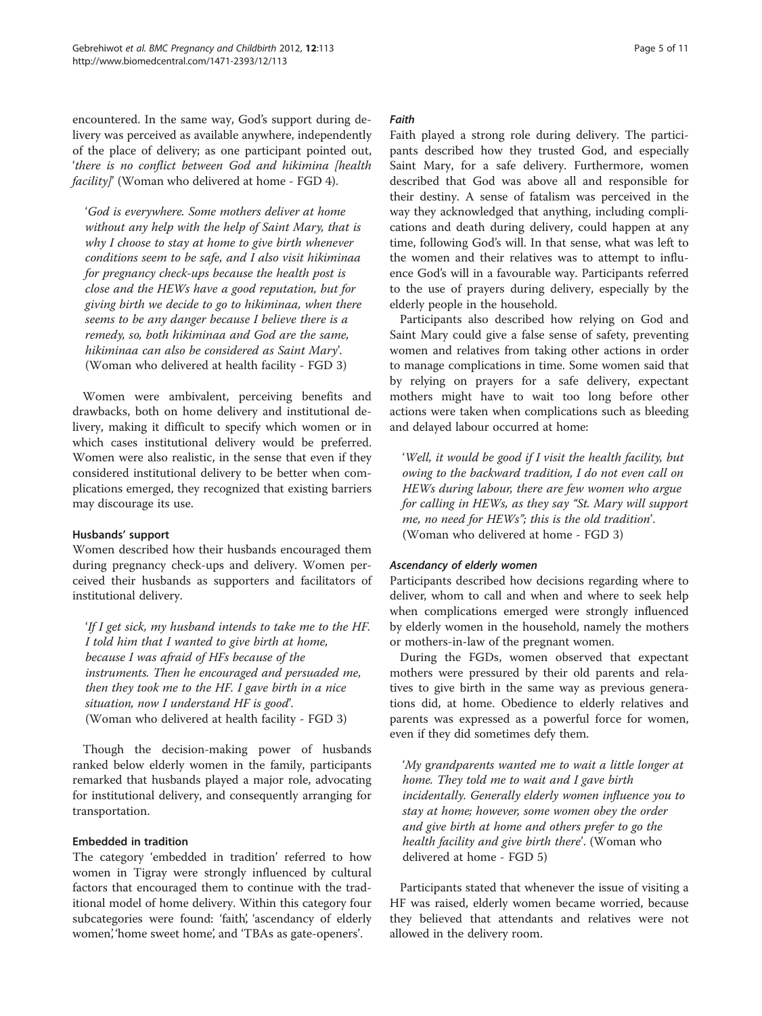encountered. In the same way, God's support during delivery was perceived as available anywhere, independently of the place of delivery; as one participant pointed out, 'there is no conflict between God and hikimina [health facility]' (Woman who delivered at home - FGD 4).

'God is everywhere. Some mothers deliver at home without any help with the help of Saint Mary, that is why I choose to stay at home to give birth whenever conditions seem to be safe, and I also visit hikiminaa for pregnancy check-ups because the health post is close and the HEWs have a good reputation, but for giving birth we decide to go to hikiminaa, when there seems to be any danger because I believe there is a remedy, so, both hikiminaa and God are the same, hikiminaa can also be considered as Saint Mary'. (Woman who delivered at health facility - FGD 3)

Women were ambivalent, perceiving benefits and drawbacks, both on home delivery and institutional delivery, making it difficult to specify which women or in which cases institutional delivery would be preferred. Women were also realistic, in the sense that even if they considered institutional delivery to be better when complications emerged, they recognized that existing barriers may discourage its use.

# Husbands' support

Women described how their husbands encouraged them during pregnancy check-ups and delivery. Women perceived their husbands as supporters and facilitators of institutional delivery.

'If I get sick, my husband intends to take me to the HF. I told him that I wanted to give birth at home, because I was afraid of HFs because of the instruments. Then he encouraged and persuaded me, then they took me to the HF. I gave birth in a nice situation, now I understand HF is good'. (Woman who delivered at health facility - FGD 3)

Though the decision-making power of husbands ranked below elderly women in the family, participants remarked that husbands played a major role, advocating for institutional delivery, and consequently arranging for transportation.

#### Embedded in tradition

The category 'embedded in tradition' referred to how women in Tigray were strongly influenced by cultural factors that encouraged them to continue with the traditional model of home delivery. Within this category four subcategories were found: 'faith', 'ascendancy of elderly women', 'home sweet home', and 'TBAs as gate-openers'.

#### Faith

Faith played a strong role during delivery. The participants described how they trusted God, and especially Saint Mary, for a safe delivery. Furthermore, women described that God was above all and responsible for their destiny. A sense of fatalism was perceived in the way they acknowledged that anything, including complications and death during delivery, could happen at any time, following God's will. In that sense, what was left to the women and their relatives was to attempt to influence God's will in a favourable way. Participants referred to the use of prayers during delivery, especially by the elderly people in the household.

Participants also described how relying on God and Saint Mary could give a false sense of safety, preventing women and relatives from taking other actions in order to manage complications in time. Some women said that by relying on prayers for a safe delivery, expectant mothers might have to wait too long before other actions were taken when complications such as bleeding and delayed labour occurred at home:

'Well, it would be good if I visit the health facility, but owing to the backward tradition, I do not even call on HEWs during labour, there are few women who argue for calling in HEWs, as they say "St. Mary will support me, no need for HEWs"; this is the old tradition'. (Woman who delivered at home - FGD 3)

#### Ascendancy of elderly women

Participants described how decisions regarding where to deliver, whom to call and when and where to seek help when complications emerged were strongly influenced by elderly women in the household, namely the mothers or mothers-in-law of the pregnant women.

During the FGDs, women observed that expectant mothers were pressured by their old parents and relatives to give birth in the same way as previous generations did, at home. Obedience to elderly relatives and parents was expressed as a powerful force for women, even if they did sometimes defy them.

'My grandparents wanted me to wait a little longer at home. They told me to wait and I gave birth incidentally. Generally elderly women influence you to stay at home; however, some women obey the order and give birth at home and others prefer to go the health facility and give birth there'. (Woman who delivered at home - FGD 5)

Participants stated that whenever the issue of visiting a HF was raised, elderly women became worried, because they believed that attendants and relatives were not allowed in the delivery room.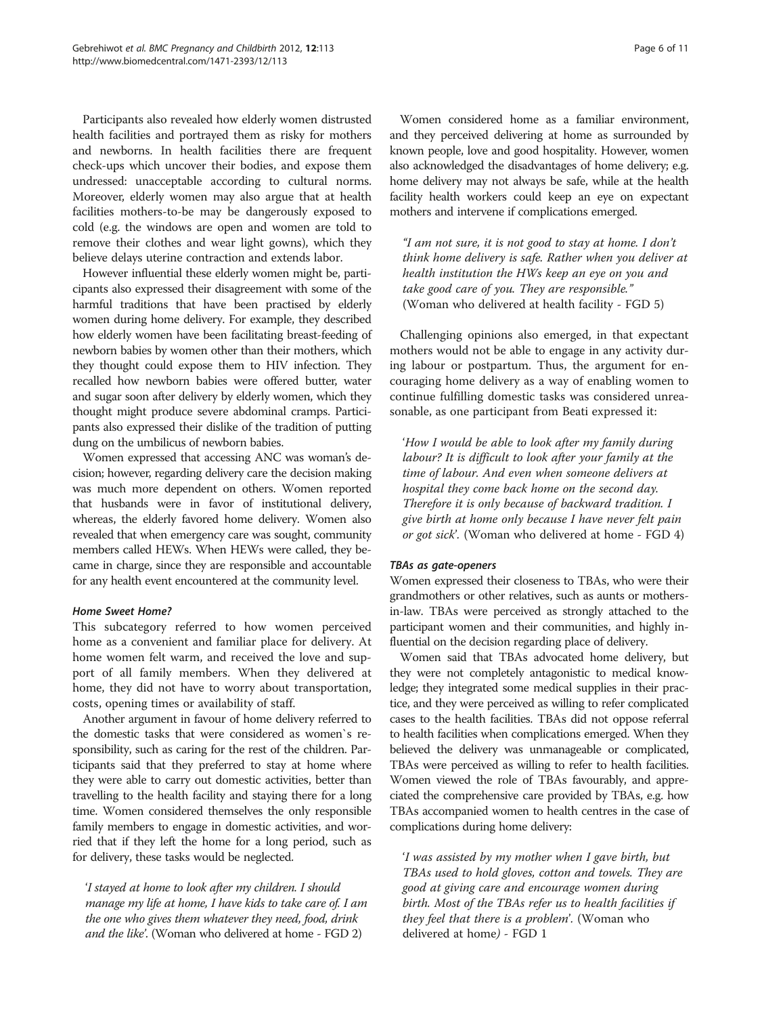Participants also revealed how elderly women distrusted health facilities and portrayed them as risky for mothers and newborns. In health facilities there are frequent check-ups which uncover their bodies, and expose them undressed: unacceptable according to cultural norms. Moreover, elderly women may also argue that at health facilities mothers-to-be may be dangerously exposed to cold (e.g. the windows are open and women are told to remove their clothes and wear light gowns), which they believe delays uterine contraction and extends labor.

However influential these elderly women might be, participants also expressed their disagreement with some of the harmful traditions that have been practised by elderly women during home delivery. For example, they described how elderly women have been facilitating breast-feeding of newborn babies by women other than their mothers, which they thought could expose them to HIV infection. They recalled how newborn babies were offered butter, water and sugar soon after delivery by elderly women, which they thought might produce severe abdominal cramps. Participants also expressed their dislike of the tradition of putting dung on the umbilicus of newborn babies.

Women expressed that accessing ANC was woman's decision; however, regarding delivery care the decision making was much more dependent on others. Women reported that husbands were in favor of institutional delivery, whereas, the elderly favored home delivery. Women also revealed that when emergency care was sought, community members called HEWs. When HEWs were called, they became in charge, since they are responsible and accountable for any health event encountered at the community level.

#### Home Sweet Home?

This subcategory referred to how women perceived home as a convenient and familiar place for delivery. At home women felt warm, and received the love and support of all family members. When they delivered at home, they did not have to worry about transportation, costs, opening times or availability of staff.

Another argument in favour of home delivery referred to the domestic tasks that were considered as women`s responsibility, such as caring for the rest of the children. Participants said that they preferred to stay at home where they were able to carry out domestic activities, better than travelling to the health facility and staying there for a long time. Women considered themselves the only responsible family members to engage in domestic activities, and worried that if they left the home for a long period, such as for delivery, these tasks would be neglected.

'I stayed at home to look after my children. I should manage my life at home, I have kids to take care of. I am the one who gives them whatever they need, food, drink and the like'. (Woman who delivered at home - FGD 2)

Women considered home as a familiar environment, and they perceived delivering at home as surrounded by known people, love and good hospitality. However, women also acknowledged the disadvantages of home delivery; e.g. home delivery may not always be safe, while at the health facility health workers could keep an eye on expectant mothers and intervene if complications emerged.

"I am not sure, it is not good to stay at home. I don't think home delivery is safe. Rather when you deliver at health institution the HWs keep an eye on you and take good care of you. They are responsible." (Woman who delivered at health facility - FGD 5)

Challenging opinions also emerged, in that expectant mothers would not be able to engage in any activity during labour or postpartum. Thus, the argument for encouraging home delivery as a way of enabling women to continue fulfilling domestic tasks was considered unreasonable, as one participant from Beati expressed it:

'How I would be able to look after my family during labour? It is difficult to look after your family at the time of labour. And even when someone delivers at hospital they come back home on the second day. Therefore it is only because of backward tradition. I give birth at home only because I have never felt pain or got sick'. (Woman who delivered at home - FGD 4)

#### TBAs as gate-openers

Women expressed their closeness to TBAs, who were their grandmothers or other relatives, such as aunts or mothersin-law. TBAs were perceived as strongly attached to the participant women and their communities, and highly influential on the decision regarding place of delivery.

Women said that TBAs advocated home delivery, but they were not completely antagonistic to medical knowledge; they integrated some medical supplies in their practice, and they were perceived as willing to refer complicated cases to the health facilities. TBAs did not oppose referral to health facilities when complications emerged. When they believed the delivery was unmanageable or complicated, TBAs were perceived as willing to refer to health facilities. Women viewed the role of TBAs favourably, and appreciated the comprehensive care provided by TBAs, e.g. how TBAs accompanied women to health centres in the case of complications during home delivery:

'I was assisted by my mother when I gave birth, but TBAs used to hold gloves, cotton and towels. They are good at giving care and encourage women during birth. Most of the TBAs refer us to health facilities if they feel that there is a problem'. (Woman who delivered at home) - FGD 1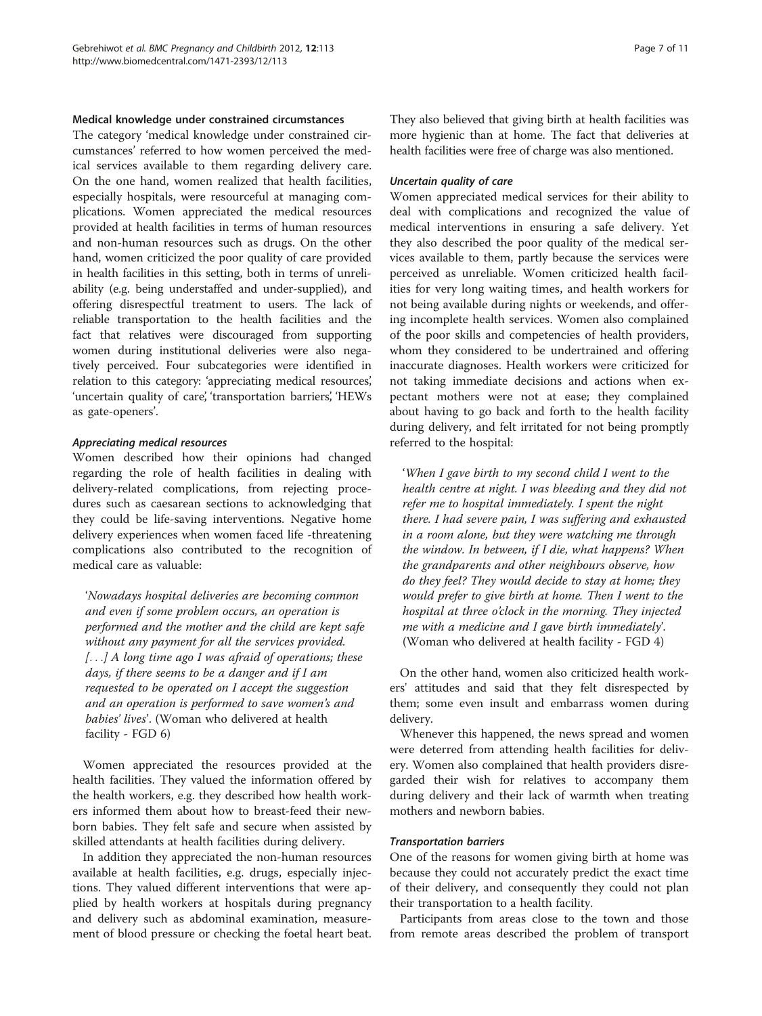#### Medical knowledge under constrained circumstances

The category 'medical knowledge under constrained circumstances' referred to how women perceived the medical services available to them regarding delivery care. On the one hand, women realized that health facilities, especially hospitals, were resourceful at managing complications. Women appreciated the medical resources provided at health facilities in terms of human resources and non-human resources such as drugs. On the other hand, women criticized the poor quality of care provided in health facilities in this setting, both in terms of unreliability (e.g. being understaffed and under-supplied), and offering disrespectful treatment to users. The lack of reliable transportation to the health facilities and the fact that relatives were discouraged from supporting women during institutional deliveries were also negatively perceived. Four subcategories were identified in relation to this category: 'appreciating medical resources', 'uncertain quality of care', 'transportation barriers', 'HEWs as gate-openers'.

#### Appreciating medical resources

Women described how their opinions had changed regarding the role of health facilities in dealing with delivery-related complications, from rejecting procedures such as caesarean sections to acknowledging that they could be life-saving interventions. Negative home delivery experiences when women faced life -threatening complications also contributed to the recognition of medical care as valuable:

'Nowadays hospital deliveries are becoming common and even if some problem occurs, an operation is performed and the mother and the child are kept safe without any payment for all the services provided.  $[...]$  A long time ago I was afraid of operations; these days, if there seems to be a danger and if I am requested to be operated on I accept the suggestion and an operation is performed to save women's and babies' lives'. (Woman who delivered at health facility - FGD 6)

Women appreciated the resources provided at the health facilities. They valued the information offered by the health workers, e.g. they described how health workers informed them about how to breast-feed their newborn babies. They felt safe and secure when assisted by skilled attendants at health facilities during delivery.

In addition they appreciated the non-human resources available at health facilities, e.g. drugs, especially injections. They valued different interventions that were applied by health workers at hospitals during pregnancy and delivery such as abdominal examination, measurement of blood pressure or checking the foetal heart beat.

They also believed that giving birth at health facilities was more hygienic than at home. The fact that deliveries at health facilities were free of charge was also mentioned.

#### Uncertain quality of care

Women appreciated medical services for their ability to deal with complications and recognized the value of medical interventions in ensuring a safe delivery. Yet they also described the poor quality of the medical services available to them, partly because the services were perceived as unreliable. Women criticized health facilities for very long waiting times, and health workers for not being available during nights or weekends, and offering incomplete health services. Women also complained of the poor skills and competencies of health providers, whom they considered to be undertrained and offering inaccurate diagnoses. Health workers were criticized for not taking immediate decisions and actions when expectant mothers were not at ease; they complained about having to go back and forth to the health facility during delivery, and felt irritated for not being promptly referred to the hospital:

'When I gave birth to my second child I went to the health centre at night. I was bleeding and they did not refer me to hospital immediately. I spent the night there. I had severe pain, I was suffering and exhausted in a room alone, but they were watching me through the window. In between, if I die, what happens? When the grandparents and other neighbours observe, how do they feel? They would decide to stay at home; they would prefer to give birth at home. Then I went to the hospital at three o'clock in the morning. They injected me with a medicine and I gave birth immediately'. (Woman who delivered at health facility - FGD 4)

On the other hand, women also criticized health workers' attitudes and said that they felt disrespected by them; some even insult and embarrass women during delivery.

Whenever this happened, the news spread and women were deterred from attending health facilities for delivery. Women also complained that health providers disregarded their wish for relatives to accompany them during delivery and their lack of warmth when treating mothers and newborn babies.

#### Transportation barriers

One of the reasons for women giving birth at home was because they could not accurately predict the exact time of their delivery, and consequently they could not plan their transportation to a health facility.

Participants from areas close to the town and those from remote areas described the problem of transport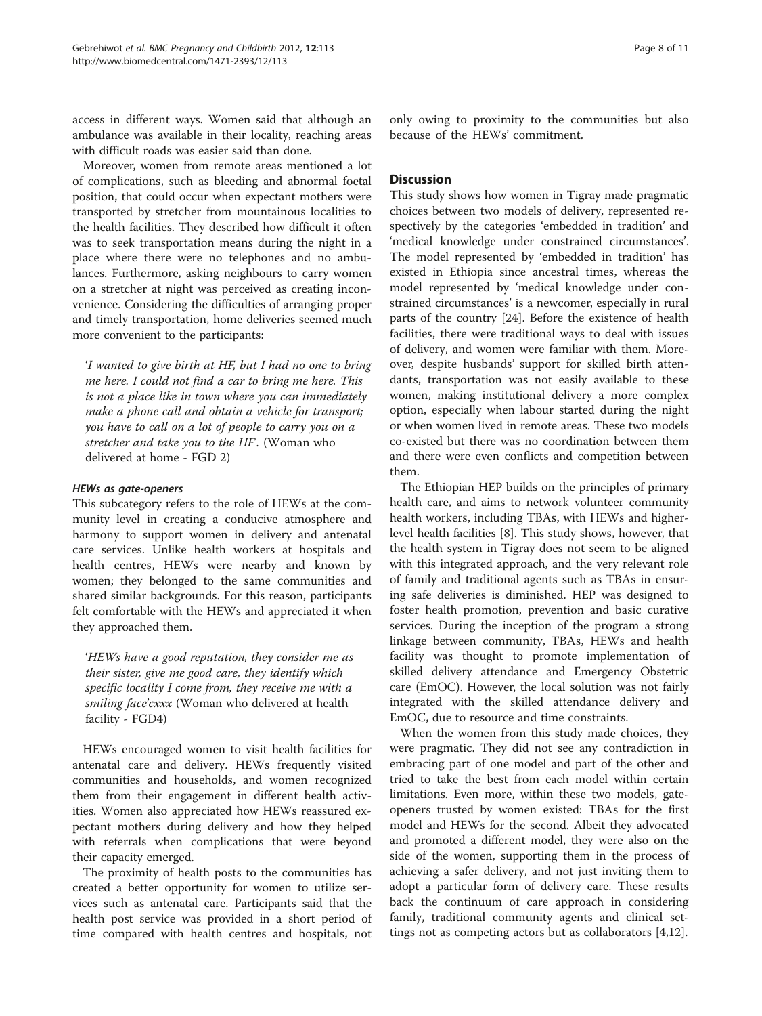access in different ways. Women said that although an ambulance was available in their locality, reaching areas with difficult roads was easier said than done.

Moreover, women from remote areas mentioned a lot of complications, such as bleeding and abnormal foetal position, that could occur when expectant mothers were transported by stretcher from mountainous localities to the health facilities. They described how difficult it often was to seek transportation means during the night in a place where there were no telephones and no ambulances. Furthermore, asking neighbours to carry women on a stretcher at night was perceived as creating inconvenience. Considering the difficulties of arranging proper and timely transportation, home deliveries seemed much more convenient to the participants:

'I wanted to give birth at HF, but I had no one to bring me here. I could not find a car to bring me here. This is not a place like in town where you can immediately make a phone call and obtain a vehicle for transport; you have to call on a lot of people to carry you on a stretcher and take you to the HF'. (Woman who delivered at home - FGD 2)

#### HEWs as gate-openers

This subcategory refers to the role of HEWs at the community level in creating a conducive atmosphere and harmony to support women in delivery and antenatal care services. Unlike health workers at hospitals and health centres, HEWs were nearby and known by women; they belonged to the same communities and shared similar backgrounds. For this reason, participants felt comfortable with the HEWs and appreciated it when they approached them.

'HEWs have a good reputation, they consider me as their sister, give me good care, they identify which specific locality I come from, they receive me with a smiling face'cxxx (Woman who delivered at health facility - FGD4)

HEWs encouraged women to visit health facilities for antenatal care and delivery. HEWs frequently visited communities and households, and women recognized them from their engagement in different health activities. Women also appreciated how HEWs reassured expectant mothers during delivery and how they helped with referrals when complications that were beyond their capacity emerged.

The proximity of health posts to the communities has created a better opportunity for women to utilize services such as antenatal care. Participants said that the health post service was provided in a short period of time compared with health centres and hospitals, not only owing to proximity to the communities but also because of the HEWs' commitment.

# **Discussion**

This study shows how women in Tigray made pragmatic choices between two models of delivery, represented respectively by the categories 'embedded in tradition' and 'medical knowledge under constrained circumstances'. The model represented by 'embedded in tradition' has existed in Ethiopia since ancestral times, whereas the model represented by 'medical knowledge under constrained circumstances' is a newcomer, especially in rural parts of the country [\[24](#page-10-0)]. Before the existence of health facilities, there were traditional ways to deal with issues of delivery, and women were familiar with them. Moreover, despite husbands' support for skilled birth attendants, transportation was not easily available to these women, making institutional delivery a more complex option, especially when labour started during the night or when women lived in remote areas. These two models co-existed but there was no coordination between them and there were even conflicts and competition between them.

The Ethiopian HEP builds on the principles of primary health care, and aims to network volunteer community health workers, including TBAs, with HEWs and higherlevel health facilities [[8\]](#page-9-0). This study shows, however, that the health system in Tigray does not seem to be aligned with this integrated approach, and the very relevant role of family and traditional agents such as TBAs in ensuring safe deliveries is diminished. HEP was designed to foster health promotion, prevention and basic curative services. During the inception of the program a strong linkage between community, TBAs, HEWs and health facility was thought to promote implementation of skilled delivery attendance and Emergency Obstetric care (EmOC). However, the local solution was not fairly integrated with the skilled attendance delivery and EmOC, due to resource and time constraints.

When the women from this study made choices, they were pragmatic. They did not see any contradiction in embracing part of one model and part of the other and tried to take the best from each model within certain limitations. Even more, within these two models, gateopeners trusted by women existed: TBAs for the first model and HEWs for the second. Albeit they advocated and promoted a different model, they were also on the side of the women, supporting them in the process of achieving a safer delivery, and not just inviting them to adopt a particular form of delivery care. These results back the continuum of care approach in considering family, traditional community agents and clinical settings not as competing actors but as collaborators [[4,12\]](#page-9-0).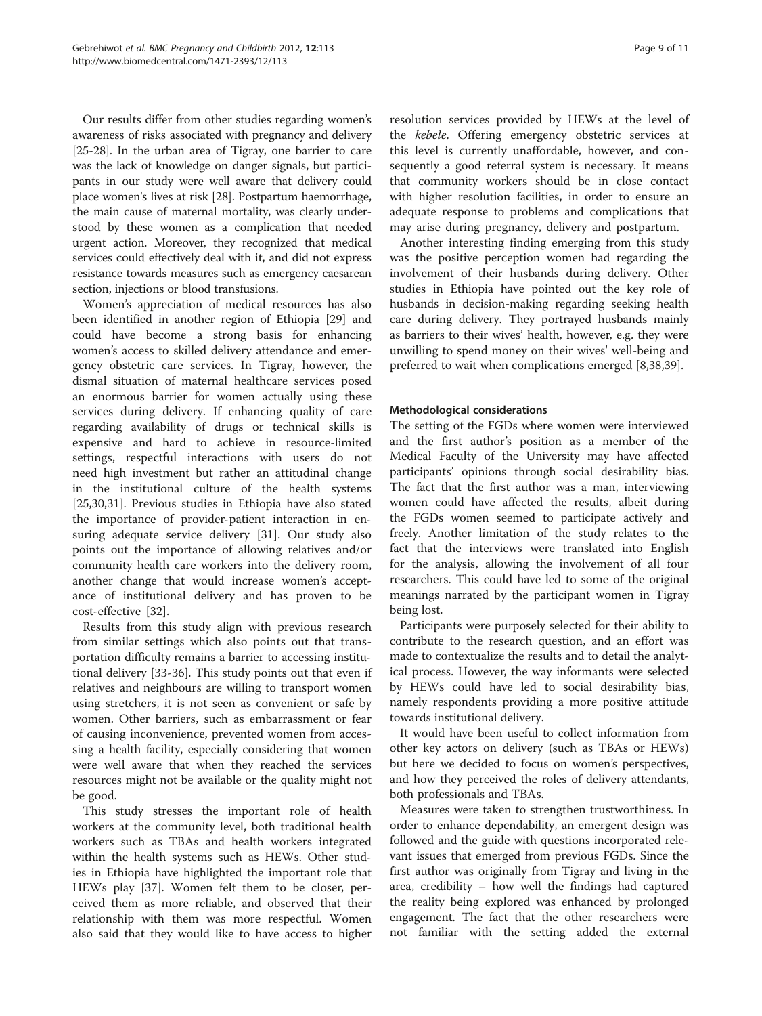Our results differ from other studies regarding women's awareness of risks associated with pregnancy and delivery [[25](#page-10-0)-[28\]](#page-10-0). In the urban area of Tigray, one barrier to care was the lack of knowledge on danger signals, but participants in our study were well aware that delivery could place women's lives at risk [[28](#page-10-0)]. Postpartum haemorrhage, the main cause of maternal mortality, was clearly understood by these women as a complication that needed urgent action. Moreover, they recognized that medical services could effectively deal with it, and did not express resistance towards measures such as emergency caesarean section, injections or blood transfusions.

Women's appreciation of medical resources has also been identified in another region of Ethiopia [[29\]](#page-10-0) and could have become a strong basis for enhancing women's access to skilled delivery attendance and emergency obstetric care services. In Tigray, however, the dismal situation of maternal healthcare services posed an enormous barrier for women actually using these services during delivery. If enhancing quality of care regarding availability of drugs or technical skills is expensive and hard to achieve in resource-limited settings, respectful interactions with users do not need high investment but rather an attitudinal change in the institutional culture of the health systems [[25,30,31\]](#page-10-0). Previous studies in Ethiopia have also stated the importance of provider-patient interaction in ensuring adequate service delivery [\[31\]](#page-10-0). Our study also points out the importance of allowing relatives and/or community health care workers into the delivery room, another change that would increase women's acceptance of institutional delivery and has proven to be cost-effective [\[32](#page-10-0)].

Results from this study align with previous research from similar settings which also points out that transportation difficulty remains a barrier to accessing institutional delivery [[33-36](#page-10-0)]. This study points out that even if relatives and neighbours are willing to transport women using stretchers, it is not seen as convenient or safe by women. Other barriers, such as embarrassment or fear of causing inconvenience, prevented women from accessing a health facility, especially considering that women were well aware that when they reached the services resources might not be available or the quality might not be good.

This study stresses the important role of health workers at the community level, both traditional health workers such as TBAs and health workers integrated within the health systems such as HEWs. Other studies in Ethiopia have highlighted the important role that HEWs play [\[37](#page-10-0)]. Women felt them to be closer, perceived them as more reliable, and observed that their relationship with them was more respectful. Women also said that they would like to have access to higher

resolution services provided by HEWs at the level of the kebele. Offering emergency obstetric services at this level is currently unaffordable, however, and consequently a good referral system is necessary. It means that community workers should be in close contact with higher resolution facilities, in order to ensure an adequate response to problems and complications that may arise during pregnancy, delivery and postpartum.

Another interesting finding emerging from this study was the positive perception women had regarding the involvement of their husbands during delivery. Other studies in Ethiopia have pointed out the key role of husbands in decision-making regarding seeking health care during delivery. They portrayed husbands mainly as barriers to their wives' health, however, e.g. they were unwilling to spend money on their wives' well-being and preferred to wait when complications emerged [\[8](#page-9-0)[,38,39](#page-10-0)].

#### Methodological considerations

The setting of the FGDs where women were interviewed and the first author's position as a member of the Medical Faculty of the University may have affected participants' opinions through social desirability bias. The fact that the first author was a man, interviewing women could have affected the results, albeit during the FGDs women seemed to participate actively and freely. Another limitation of the study relates to the fact that the interviews were translated into English for the analysis, allowing the involvement of all four researchers. This could have led to some of the original meanings narrated by the participant women in Tigray being lost.

Participants were purposely selected for their ability to contribute to the research question, and an effort was made to contextualize the results and to detail the analytical process. However, the way informants were selected by HEWs could have led to social desirability bias, namely respondents providing a more positive attitude towards institutional delivery.

It would have been useful to collect information from other key actors on delivery (such as TBAs or HEWs) but here we decided to focus on women's perspectives, and how they perceived the roles of delivery attendants, both professionals and TBAs.

Measures were taken to strengthen trustworthiness. In order to enhance dependability, an emergent design was followed and the guide with questions incorporated relevant issues that emerged from previous FGDs. Since the first author was originally from Tigray and living in the area, credibility – how well the findings had captured the reality being explored was enhanced by prolonged engagement. The fact that the other researchers were not familiar with the setting added the external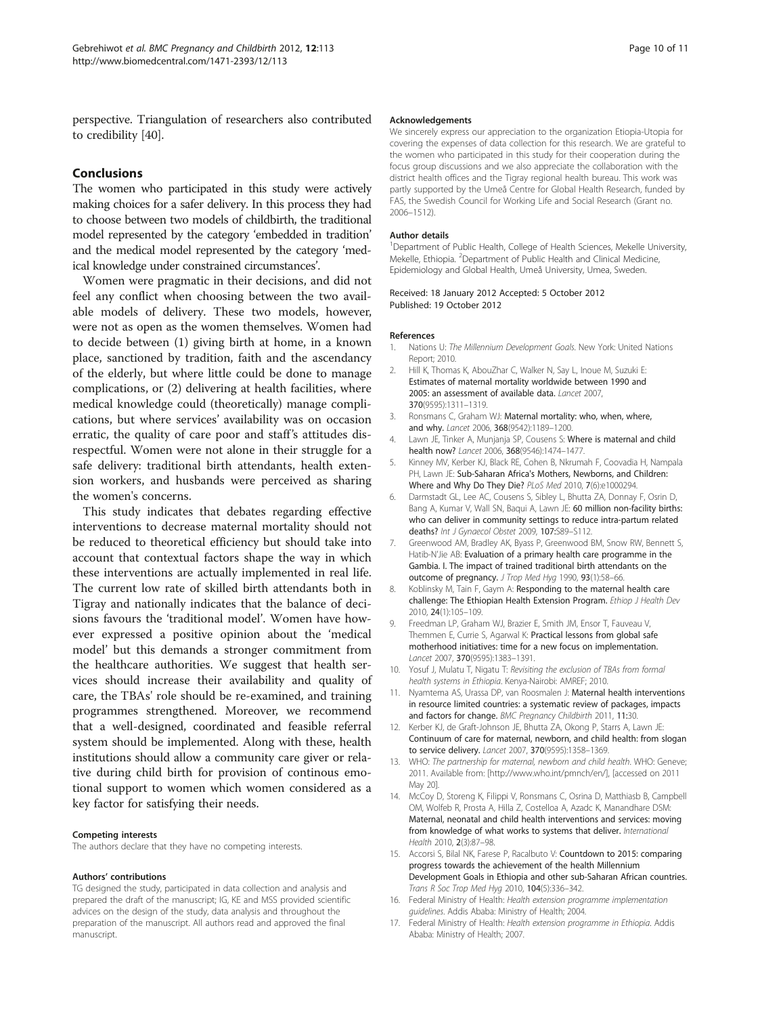<span id="page-9-0"></span>perspective. Triangulation of researchers also contributed to credibility [\[40](#page-10-0)].

# Conclusions

The women who participated in this study were actively making choices for a safer delivery. In this process they had to choose between two models of childbirth, the traditional model represented by the category 'embedded in tradition' and the medical model represented by the category 'medical knowledge under constrained circumstances'.

Women were pragmatic in their decisions, and did not feel any conflict when choosing between the two available models of delivery. These two models, however, were not as open as the women themselves. Women had to decide between (1) giving birth at home, in a known place, sanctioned by tradition, faith and the ascendancy of the elderly, but where little could be done to manage complications, or (2) delivering at health facilities, where medical knowledge could (theoretically) manage complications, but where services' availability was on occasion erratic, the quality of care poor and staff's attitudes disrespectful. Women were not alone in their struggle for a safe delivery: traditional birth attendants, health extension workers, and husbands were perceived as sharing the women's concerns.

This study indicates that debates regarding effective interventions to decrease maternal mortality should not be reduced to theoretical efficiency but should take into account that contextual factors shape the way in which these interventions are actually implemented in real life. The current low rate of skilled birth attendants both in Tigray and nationally indicates that the balance of decisions favours the 'traditional model'. Women have however expressed a positive opinion about the 'medical model' but this demands a stronger commitment from the healthcare authorities. We suggest that health services should increase their availability and quality of care, the TBAs' role should be re-examined, and training programmes strengthened. Moreover, we recommend that a well-designed, coordinated and feasible referral system should be implemented. Along with these, health institutions should allow a community care giver or relative during child birth for provision of continous emotional support to women which women considered as a key factor for satisfying their needs.

#### Competing interests

The authors declare that they have no competing interests.

#### Authors' contributions

TG designed the study, participated in data collection and analysis and prepared the draft of the manuscript; IG, KE and MSS provided scientific advices on the design of the study, data analysis and throughout the preparation of the manuscript. All authors read and approved the final manuscript.

#### Acknowledgements

We sincerely express our appreciation to the organization Etiopia-Utopia for covering the expenses of data collection for this research. We are grateful to the women who participated in this study for their cooperation during the focus group discussions and we also appreciate the collaboration with the district health offices and the Tigray regional health bureau. This work was partly supported by the Umeå Centre for Global Health Research, funded by FAS, the Swedish Council for Working Life and Social Research (Grant no. 2006–1512).

#### Author details

<sup>1</sup>Department of Public Health, College of Health Sciences, Mekelle University, Mekelle, Ethiopia. <sup>2</sup>Department of Public Health and Clinical Medicine Epidemiology and Global Health, Umeå University, Umea, Sweden.

#### Received: 18 January 2012 Accepted: 5 October 2012 Published: 19 October 2012

#### References

- 1. Nations U: The Millennium Development Goals. New York: United Nations Report; 2010.
- 2. Hill K, Thomas K, AbouZhar C, Walker N, Say L, Inoue M, Suzuki E: Estimates of maternal mortality worldwide between 1990 and 2005: an assessment of available data. Lancet 2007, 370(9595):1311–1319.
- 3. Ronsmans C, Graham WJ: Maternal mortality: who, when, where, and why. Lancet 2006, 368(9542):1189-1200.
- 4. Lawn JE, Tinker A, Munjanja SP, Cousens S: Where is maternal and child health now? Lancet 2006, 368(9546):1474–1477.
- 5. Kinney MV, Kerber KJ, Black RE, Cohen B, Nkrumah F, Coovadia H, Nampala PH, Lawn JE: Sub-Saharan Africa's Mothers, Newborns, and Children: Where and Why Do They Die? PLoS Med 2010, 7(6):e1000294
- 6. Darmstadt GL, Lee AC, Cousens S, Sibley L, Bhutta ZA, Donnay F, Osrin D, Bang A, Kumar V, Wall SN, Baqui A, Lawn JE: 60 million non-facility births: who can deliver in community settings to reduce intra-partum related deaths? Int J Gynaecol Obstet 2009, 107:S89–S112.
- 7. Greenwood AM, Bradley AK, Byass P, Greenwood BM, Snow RW, Bennett S, Hatib-N'Jie AB: Evaluation of a primary health care programme in the Gambia. I. The impact of trained traditional birth attendants on the outcome of pregnancy. J Trop Med Hyg 1990, 93(1):58-66.
- Koblinsky M, Tain F, Gaym A: Responding to the maternal health care challenge: The Ethiopian Health Extension Program. Ethiop J Health Dev 2010, 24(1):105–109.
- 9. Freedman LP, Graham WJ, Brazier E, Smith JM, Ensor T, Fauveau V, Themmen E, Currie S, Agarwal K: Practical lessons from global safe motherhood initiatives: time for a new focus on implementation. Lancet 2007, 370(9595):1383–1391.
- 10. Yosuf J, Mulatu T, Nigatu T: Revisiting the exclusion of TBAs from formal health systems in Ethiopia. Kenya-Nairobi: AMREF; 2010.
- 11. Nyamtema AS, Urassa DP, van Roosmalen J: Maternal health interventions in resource limited countries: a systematic review of packages, impacts and factors for change. BMC Pregnancy Childbirth 2011, 11:30.
- 12. Kerber KJ, de Graft-Johnson JE, Bhutta ZA, Okong P, Starrs A, Lawn JE: Continuum of care for maternal, newborn, and child health: from slogan to service delivery. Lancet 2007, 370(9595):1358–1369.
- 13. WHO: The partnership for maternal, newborn and child health. WHO: Geneve; 2011. Available from: [[http://www.who.int/pmnch/en/\]](http://www.who.int/pmnch/en/), [accessed on 2011 May 20].
- 14. McCoy D, Storeng K, Filippi V, Ronsmans C, Osrina D, Matthiasb B, Campbell OM, Wolfeb R, Prosta A, Hilla Z, Costelloa A, Azadc K, Manandhare DSM: Maternal, neonatal and child health interventions and services: moving from knowledge of what works to systems that deliver. International Health 2010, 2(3):87–98.
- 15. Accorsi S, Bilal NK, Farese P, Racalbuto V: Countdown to 2015: comparing progress towards the achievement of the health Millennium Development Goals in Ethiopia and other sub-Saharan African countries. Trans R Soc Trop Med Hyg 2010, 104(5):336–342.
- 16. Federal Ministry of Health: Health extension programme implementation guidelines. Addis Ababa: Ministry of Health; 2004.
- 17. Federal Ministry of Health: Health extension programme in Ethiopia. Addis Ababa: Ministry of Health; 2007.